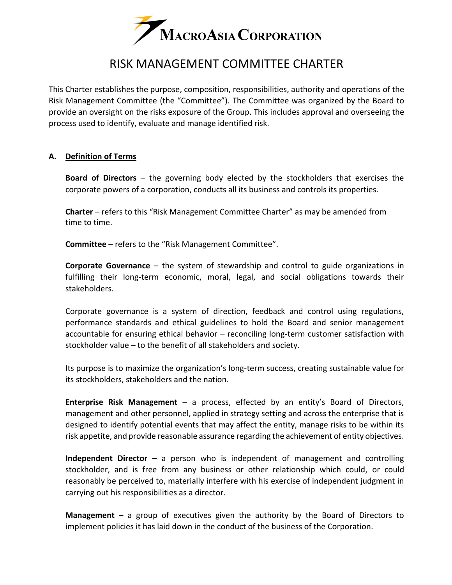

# RISK MANAGEMENT COMMITTEE CHARTER

This Charter establishes the purpose, composition, responsibilities, authority and operations of the Risk Management Committee (the "Committee"). The Committee was organized by the Board to provide an oversight on the risks exposure of the Group. This includes approval and overseeing the process used to identify, evaluate and manage identified risk.

#### **A. Definition of Terms**

**Board of Directors** – the governing body elected by the stockholders that exercises the corporate powers of a corporation, conducts all its business and controls its properties.

**Charter** – refers to this "Risk Management Committee Charter" as may be amended from time to time.

**Committee** – refers to the "Risk Management Committee".

**Corporate Governance** – the system of stewardship and control to guide organizations in fulfilling their long-term economic, moral, legal, and social obligations towards their stakeholders.

Corporate governance is a system of direction, feedback and control using regulations, performance standards and ethical guidelines to hold the Board and senior management accountable for ensuring ethical behavior – reconciling long-term customer satisfaction with stockholder value – to the benefit of all stakeholders and society.

Its purpose is to maximize the organization's long-term success, creating sustainable value for its stockholders, stakeholders and the nation.

**Enterprise Risk Management** – a process, effected by an entity's Board of Directors, management and other personnel, applied in strategy setting and across the enterprise that is designed to identify potential events that may affect the entity, manage risks to be within its risk appetite, and provide reasonable assurance regarding the achievement of entity objectives.

**Independent Director** – a person who is independent of management and controlling stockholder, and is free from any business or other relationship which could, or could reasonably be perceived to, materially interfere with his exercise of independent judgment in carrying out his responsibilities as a director.

**Management** – a group of executives given the authority by the Board of Directors to implement policies it has laid down in the conduct of the business of the Corporation.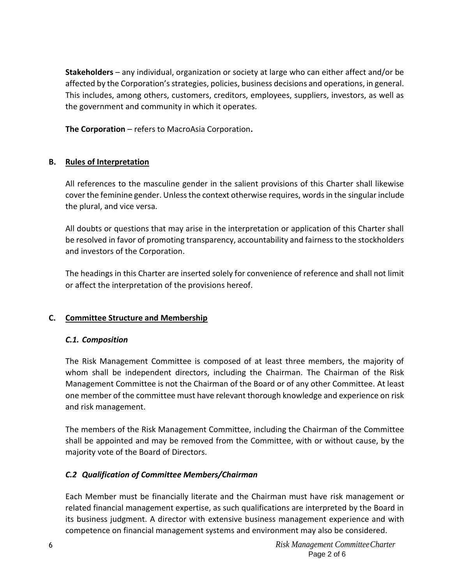**Stakeholders** – any individual, organization or society at large who can either affect and/or be affected by the Corporation's strategies, policies, business decisions and operations, in general. This includes, among others, customers, creditors, employees, suppliers, investors, as well as the government and community in which it operates.

**The Corporation** – refers to MacroAsia Corporation**.**

## **B. Rules of Interpretation**

All references to the masculine gender in the salient provisions of this Charter shall likewise cover the feminine gender. Unless the context otherwise requires, words in the singular include the plural, and vice versa.

All doubts or questions that may arise in the interpretation or application of this Charter shall be resolved in favor of promoting transparency, accountability and fairness to the stockholders and investors of the Corporation.

The headings in this Charter are inserted solely for convenience of reference and shall not limit or affect the interpretation of the provisions hereof.

## **C. Committee Structure and Membership**

## *C.1. Composition*

The Risk Management Committee is composed of at least three members, the majority of whom shall be independent directors, including the Chairman. The Chairman of the Risk Management Committee is not the Chairman of the Board or of any other Committee. At least one member of the committee must have relevant thorough knowledge and experience on risk and risk management.

The members of the Risk Management Committee, including the Chairman of the Committee shall be appointed and may be removed from the Committee, with or without cause, by the majority vote of the Board of Directors.

# *C.2 Qualification of Committee Members/Chairman*

Each Member must be financially literate and the Chairman must have risk management or related financial management expertise, as such qualifications are interpreted by the Board in its business judgment. A director with extensive business management experience and with competence on financial management systems and environment may also be considered.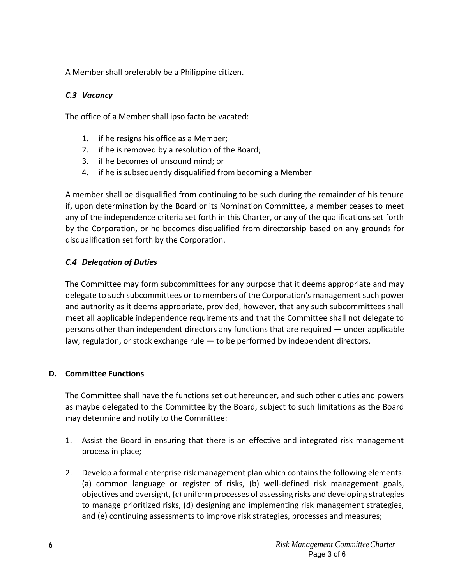A Member shall preferably be a Philippine citizen.

## *C.3 Vacancy*

The office of a Member shall ipso facto be vacated:

- 1. if he resigns his office as a Member;
- 2. if he is removed by a resolution of the Board;
- 3. if he becomes of unsound mind; or
- 4. if he is subsequently disqualified from becoming a Member

A member shall be disqualified from continuing to be such during the remainder of his tenure if, upon determination by the Board or its Nomination Committee, a member ceases to meet any of the independence criteria set forth in this Charter, or any of the qualifications set forth by the Corporation, or he becomes disqualified from directorship based on any grounds for disqualification set forth by the Corporation.

## *C.4 Delegation of Duties*

The Committee may form subcommittees for any purpose that it deems appropriate and may delegate to such subcommittees or to members of the Corporation's management such power and authority as it deems appropriate, provided, however, that any such subcommittees shall meet all applicable independence requirements and that the Committee shall not delegate to persons other than independent directors any functions that are required — under applicable law, regulation, or stock exchange rule  $-$  to be performed by independent directors.

## **D. Committee Functions**

The Committee shall have the functions set out hereunder, and such other duties and powers as maybe delegated to the Committee by the Board, subject to such limitations as the Board may determine and notify to the Committee:

- 1. Assist the Board in ensuring that there is an effective and integrated risk management process in place;
- 2. Develop a formal enterprise risk management plan which contains the following elements: (a) common language or register of risks, (b) well-defined risk management goals, objectives and oversight, (c) uniform processes of assessing risks and developing strategies to manage prioritized risks, (d) designing and implementing risk management strategies, and (e) continuing assessments to improve risk strategies, processes and measures;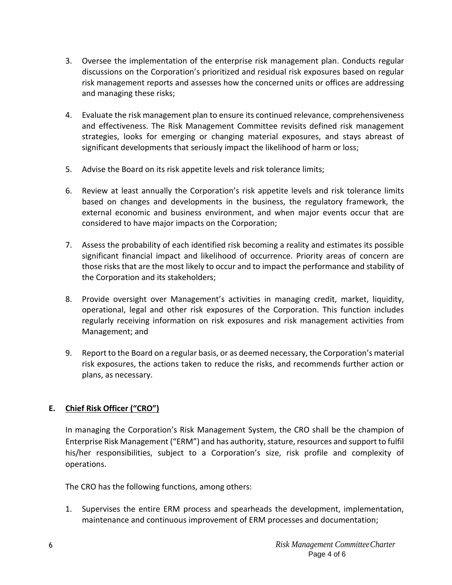- 3. Oversee the implementation of the enterprise risk management plan. Conducts regular discussions on the Corporation's prioritized and residual risk exposures based on regular risk management reports and assesses how the concerned units or offices are addressing and managing these risks;
- 4. Evaluate the risk management plan to ensure its continued relevance, comprehensiveness and effectiveness. The Risk Management Committee revisits defined risk management strategies, looks for emerging or changing material exposures, and stays abreast of significant developments that seriously impact the likelihood of harm or loss;
- 5. Advise the Board on its risk appetite levels and risk tolerance limits;
- 6. Review at least annually the Corporation's risk appetite levels and risk tolerance limits based on changes and developments in the business, the regulatory framework, the external economic and business environment, and when major events occur that are considered to have major impacts on the Corporation;
- 7. Assess the probability of each identified risk becoming a reality and estimates its possible significant financial impact and likelihood of occurrence. Priority areas of concern are those risks that are the most likely to occur and to impact the performance and stability of the Corporation and its stakeholders;
- 8. Provide oversight over Management's activities in managing credit, market, liquidity, operational, legal and other risk exposures of the Corporation. This function includes regularly receiving information on risk exposures and risk management activities from Management; and
- 9. Report to the Board on a regular basis, or as deemed necessary, the Corporation's material risk exposures, the actions taken to reduce the risks, and recommends further action or plans, as necessary.

## **E. Chief Risk Officer ("CRO")**

In managing the Corporation's Risk Management System, the CRO shall be the champion of Enterprise Risk Management ("ERM") and has authority, stature, resources and support to fulfil his/her responsibilities, subject to a Corporation's size, risk profile and complexity of operations.

The CRO has the following functions, among others:

1. Supervises the entire ERM process and spearheads the development, implementation, maintenance and continuous improvement of ERM processes and documentation;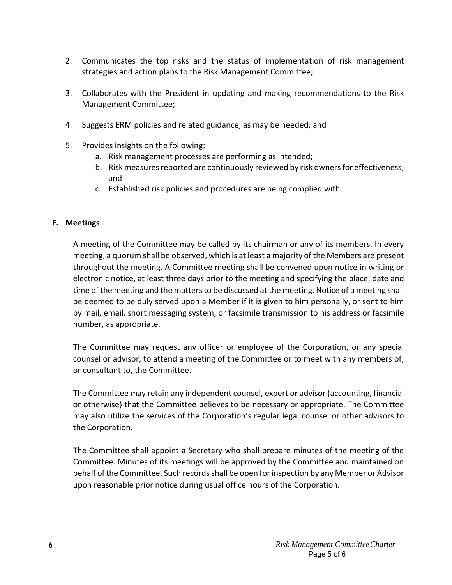- 2. Communicates the top risks and the status of implementation of risk management strategies and action plans to the Risk Management Committee;
- 3. Collaborates with the President in updating and making recommendations to the Risk Management Committee;
- 4. Suggests ERM policies and related guidance, as may be needed; and
- 5. Provides insights on the following:
	- a. Risk management processes are performing as intended;
	- b. Risk measures reported are continuously reviewed by risk owners for effectiveness; and
	- c. Established risk policies and procedures are being complied with.

#### **F. Meetings**

A meeting of the Committee may be called by its chairman or any of its members. In every meeting, a quorum shall be observed, which is at least a majority of the Members are present throughout the meeting. A Committee meeting shall be convened upon notice in writing or electronic notice, at least three days prior to the meeting and specifying the place, date and time of the meeting and the matters to be discussed at the meeting. Notice of a meeting shall be deemed to be duly served upon a Member if it is given to him personally, or sent to him by mail, email, short messaging system, or facsimile transmission to his address or facsimile number, as appropriate.

The Committee may request any officer or employee of the Corporation, or any special counsel or advisor, to attend a meeting of the Committee or to meet with any members of, or consultant to, the Committee.

The Committee may retain any independent counsel, expert or advisor (accounting, financial or otherwise) that the Committee believes to be necessary or appropriate. The Committee may also utilize the services of the Corporation's regular legal counsel or other advisors to the Corporation.

The Committee shall appoint a Secretary who shall prepare minutes of the meeting of the Committee. Minutes of its meetings will be approved by the Committee and maintained on behalf of the Committee. Such records shall be open for inspection by any Member or Advisor upon reasonable prior notice during usual office hours of the Corporation.